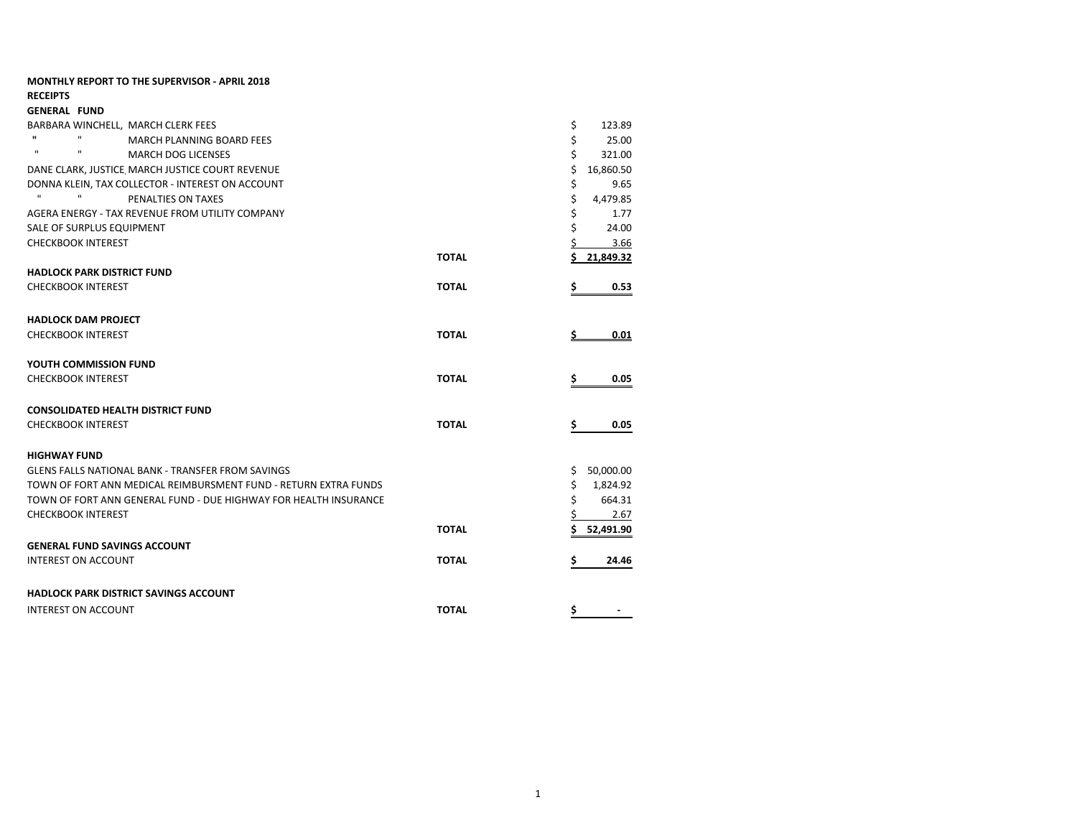| <b>MONTHLY REPORT TO THE SUPERVISOR - APRIL 2018</b>                                                   |              |                             |
|--------------------------------------------------------------------------------------------------------|--------------|-----------------------------|
| <b>RECEIPTS</b>                                                                                        |              |                             |
| <b>GENERAL FUND</b>                                                                                    |              |                             |
| BARBARA WINCHELL, MARCH CLERK FEES<br>$\mathbf{u}$<br>$\mathbf{u}$<br><b>MARCH PLANNING BOARD FEES</b> |              | \$<br>123.89<br>\$<br>25.00 |
| $\mathbf{u}$<br>$\mathbf{u}$<br><b>MARCH DOG LICENSES</b>                                              |              | Ś<br>321.00                 |
| DANE CLARK, JUSTICE MARCH JUSTICE COURT REVENUE                                                        |              | Ś<br>16,860.50              |
| DONNA KLEIN, TAX COLLECTOR - INTEREST ON ACCOUNT                                                       |              | \$<br>9.65                  |
| $\mathbf{H}$<br>PENALTIES ON TAXES                                                                     |              | \$<br>4,479.85              |
| AGERA ENERGY - TAX REVENUE FROM UTILITY COMPANY                                                        |              | \$<br>1.77                  |
| SALE OF SURPLUS EQUIPMENT                                                                              |              | Ś<br>24.00                  |
| <b>CHECKBOOK INTEREST</b>                                                                              |              | \$<br>3.66                  |
|                                                                                                        | <b>TOTAL</b> | Ś.<br>21,849.32             |
| <b>HADLOCK PARK DISTRICT FUND</b>                                                                      |              |                             |
| <b>CHECKBOOK INTEREST</b>                                                                              | <b>TOTAL</b> | 0.53<br>\$                  |
|                                                                                                        |              |                             |
| <b>HADLOCK DAM PROJECT</b>                                                                             |              |                             |
| <b>CHECKBOOK INTEREST</b>                                                                              | <b>TOTAL</b> | 0.01                        |
| <b>YOUTH COMMISSION FUND</b>                                                                           |              |                             |
| <b>CHECKBOOK INTEREST</b>                                                                              | <b>TOTAL</b> | \$<br>0.05                  |
|                                                                                                        |              |                             |
| <b>CONSOLIDATED HEALTH DISTRICT FUND</b>                                                               |              |                             |
| <b>CHECKBOOK INTEREST</b>                                                                              | <b>TOTAL</b> | \$<br>0.05                  |
| <b>HIGHWAY FUND</b>                                                                                    |              |                             |
| <b>GLENS FALLS NATIONAL BANK - TRANSFER FROM SAVINGS</b>                                               |              | 50,000.00<br>S.             |
| TOWN OF FORT ANN MEDICAL REIMBURSMENT FUND - RETURN EXTRA FUNDS                                        |              | \$<br>1,824.92              |
| TOWN OF FORT ANN GENERAL FUND - DUE HIGHWAY FOR HEALTH INSURANCE                                       |              | \$<br>664.31                |
| <b>CHECKBOOK INTEREST</b>                                                                              |              | \$<br>2.67                  |
|                                                                                                        | <b>TOTAL</b> | Ś<br>52,491.90              |
| <b>GENERAL FUND SAVINGS ACCOUNT</b>                                                                    |              |                             |
| <b>INTEREST ON ACCOUNT</b>                                                                             | <b>TOTAL</b> | 24.46<br>\$                 |
|                                                                                                        |              |                             |
| <b>HADLOCK PARK DISTRICT SAVINGS ACCOUNT</b>                                                           |              |                             |
| <b>INTEREST ON ACCOUNT</b>                                                                             | <b>TOTAL</b> | \$                          |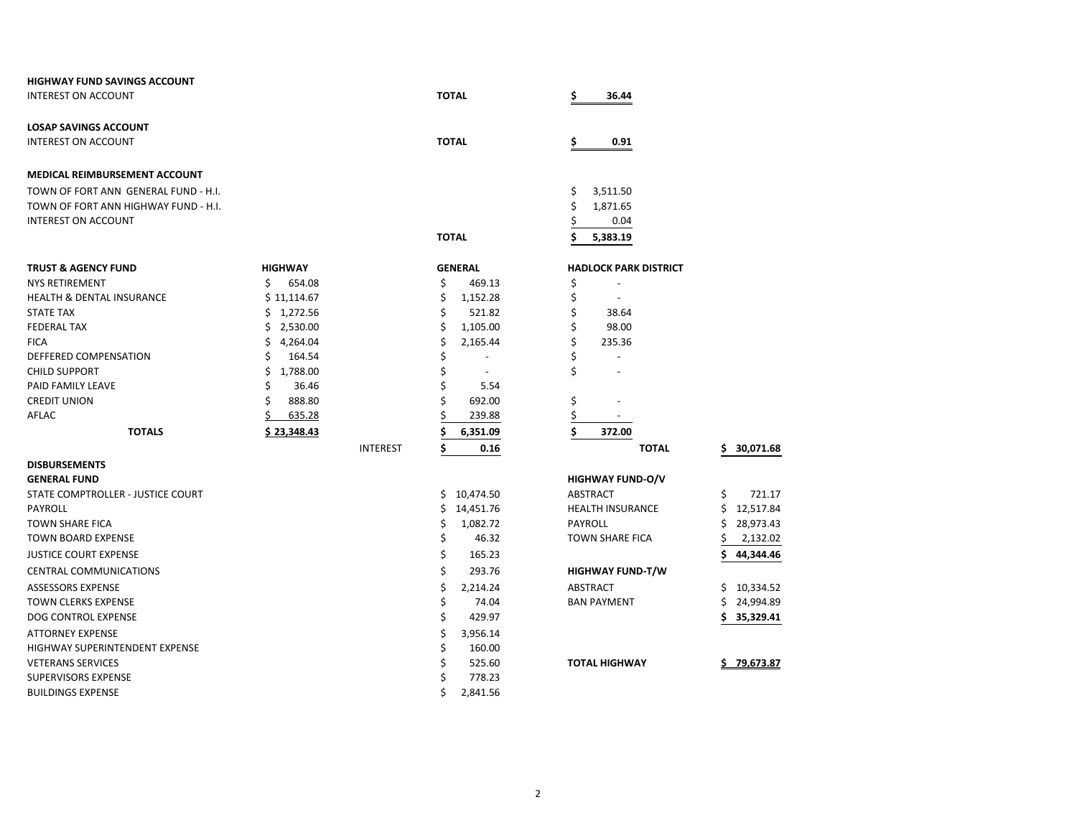| <b>HIGHWAY FUND SAVINGS ACCOUNT</b>  |                |                 |                      |                              |                  |
|--------------------------------------|----------------|-----------------|----------------------|------------------------------|------------------|
| <b>INTEREST ON ACCOUNT</b>           |                |                 | <b>TOTAL</b>         | \$<br>36.44                  |                  |
| <b>LOSAP SAVINGS ACCOUNT</b>         |                |                 |                      |                              |                  |
| <b>INTEREST ON ACCOUNT</b>           |                |                 | <b>TOTAL</b>         | \$<br>0.91                   |                  |
| <b>MEDICAL REIMBURSEMENT ACCOUNT</b> |                |                 |                      |                              |                  |
| TOWN OF FORT ANN GENERAL FUND - H.I. |                |                 |                      | \$<br>3,511.50               |                  |
| TOWN OF FORT ANN HIGHWAY FUND - H.I. |                |                 |                      | \$<br>1,871.65               |                  |
| <b>INTEREST ON ACCOUNT</b>           |                |                 |                      | \$<br>0.04                   |                  |
|                                      |                |                 | <b>TOTAL</b>         | 5,383.19                     |                  |
| <b>TRUST &amp; AGENCY FUND</b>       | <b>HIGHWAY</b> |                 | <b>GENERAL</b>       | <b>HADLOCK PARK DISTRICT</b> |                  |
| <b>NYS RETIREMENT</b>                | Ś.<br>654.08   |                 | \$<br>469.13         | \$                           |                  |
| <b>HEALTH &amp; DENTAL INSURANCE</b> | \$11,114.67    |                 | \$<br>1,152.28       | \$                           |                  |
| <b>STATE TAX</b>                     | \$1,272.56     |                 | \$<br>521.82         | \$<br>38.64                  |                  |
| <b>FEDERAL TAX</b>                   | 2,530.00<br>S  |                 | \$<br>1,105.00       | \$<br>98.00                  |                  |
| <b>FICA</b>                          | \$<br>4,264.04 |                 | \$<br>2,165.44       | \$<br>235.36                 |                  |
| DEFFERED COMPENSATION                | Ś<br>164.54    |                 | \$                   | \$                           |                  |
| <b>CHILD SUPPORT</b>                 | Ś<br>1,788.00  |                 | \$<br>$\blacksquare$ | \$                           |                  |
| PAID FAMILY LEAVE                    | 36.46<br>Ś     |                 | \$<br>5.54           |                              |                  |
| <b>CREDIT UNION</b>                  | 888.80<br>Ś    |                 | Ś<br>692.00          | \$                           |                  |
| AFLAC                                | 635.28         |                 | 239.88               | \$                           |                  |
| <b>TOTALS</b>                        | \$23,348.43    |                 | Ś<br>6,351.09        | \$<br>372.00                 |                  |
|                                      |                | <b>INTEREST</b> | Ś<br>0.16            | <b>TOTAL</b>                 | 30,071.68<br>Ś.  |
| <b>DISBURSEMENTS</b>                 |                |                 |                      |                              |                  |
| <b>GENERAL FUND</b>                  |                |                 |                      | <b>HIGHWAY FUND-O/V</b>      |                  |
| STATE COMPTROLLER - JUSTICE COURT    |                |                 | 10,474.50<br>\$.     | <b>ABSTRACT</b>              | \$<br>721.17     |
| PAYROLL                              |                |                 | \$<br>14,451.76      | <b>HEALTH INSURANCE</b>      | 12,517.84<br>\$  |
| <b>TOWN SHARE FICA</b>               |                |                 | \$<br>1,082.72       | <b>PAYROLL</b>               | 28,973.43        |
| <b>TOWN BOARD EXPENSE</b>            |                |                 | \$<br>46.32          | <b>TOWN SHARE FICA</b>       | 2,132.02         |
| <b>JUSTICE COURT EXPENSE</b>         |                |                 | \$<br>165.23         |                              | 44,344.46<br>Ś   |
| <b>CENTRAL COMMUNICATIONS</b>        |                |                 | \$<br>293.76         | HIGHWAY FUND-T/W             |                  |
| <b>ASSESSORS EXPENSE</b>             |                |                 | \$<br>2,214.24       | <b>ABSTRACT</b>              | Ś.<br>10,334.52  |
| <b>TOWN CLERKS EXPENSE</b>           |                |                 | \$<br>74.04          | <b>BAN PAYMENT</b>           | 24,994.89<br>Ś   |
| DOG CONTROL EXPENSE                  |                |                 | \$<br>429.97         |                              | \$<br>35,329.41  |
| <b>ATTORNEY EXPENSE</b>              |                |                 | \$<br>3,956.14       |                              |                  |
| HIGHWAY SUPERINTENDENT EXPENSE       |                |                 | \$<br>160.00         |                              |                  |
| <b>VETERANS SERVICES</b>             |                |                 | Ś<br>525.60          | <b>TOTAL HIGHWAY</b>         | 79,673.87<br>\$. |
| <b>SUPERVISORS EXPENSE</b>           |                |                 | 778.23<br>Ś          |                              |                  |
| <b>BUILDINGS EXPENSE</b>             |                |                 | Ś<br>2,841.56        |                              |                  |

| \$  | 30,071.68 |
|-----|-----------|
|     |           |
| \$  | 721.17    |
| \$  | 12,517.84 |
| \$  | 28,973.43 |
| \$  | 2,132.02  |
| \$  | 44.344.46 |
|     |           |
|     |           |
| \$  | 10,334.52 |
| \$. | 24,994.89 |
|     |           |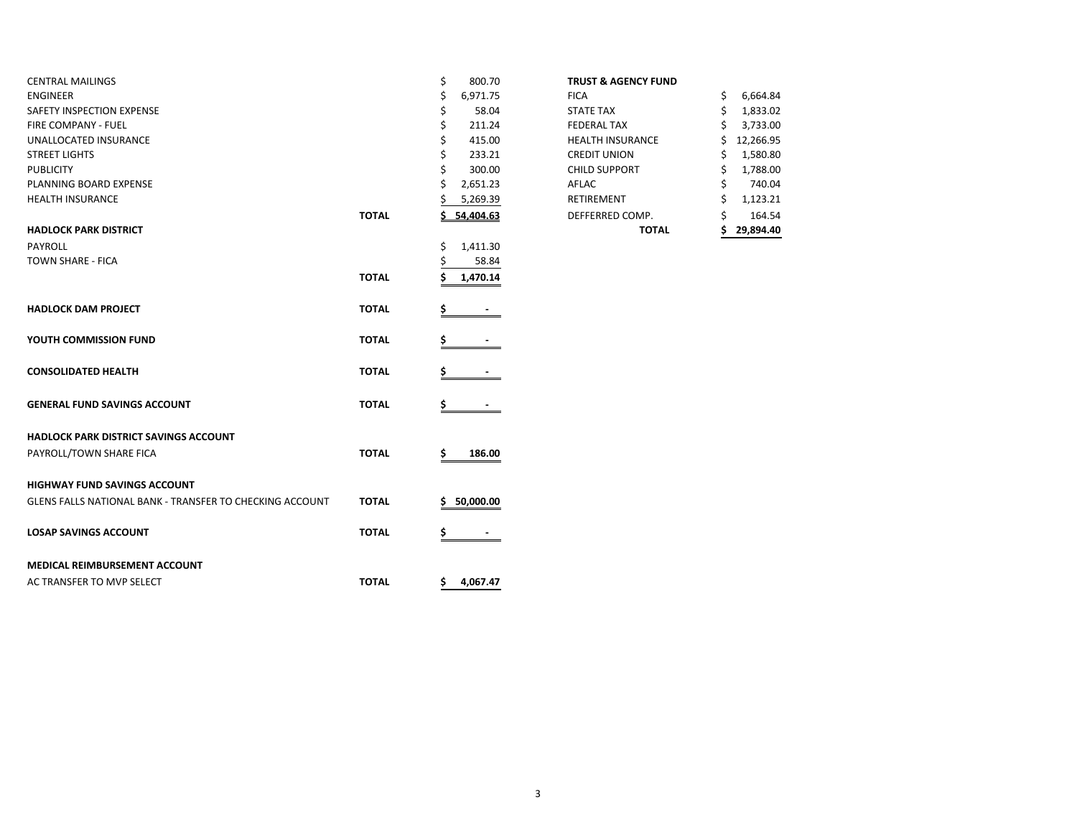| <b>CENTRAL MAILINGS</b>                                  |              | \$<br>800.70   | <b>TRUST &amp; AGENCY FUND</b> |    |           |
|----------------------------------------------------------|--------------|----------------|--------------------------------|----|-----------|
| <b>ENGINEER</b>                                          |              | 6,971.75<br>\$ | <b>FICA</b>                    | S  | 6,664.84  |
| SAFETY INSPECTION EXPENSE                                |              | 58.04<br>\$    | <b>STATE TAX</b>               | \$ | 1,833.02  |
| <b>FIRE COMPANY - FUEL</b>                               |              | 211.24<br>Ś    | <b>FEDERAL TAX</b>             |    | 3,733.00  |
| UNALLOCATED INSURANCE                                    |              | 415.00<br>Ś    | <b>HEALTH INSURANCE</b>        |    | 12,266.95 |
| <b>STREET LIGHTS</b>                                     |              | Ś<br>233.21    | <b>CREDIT UNION</b>            |    | 1,580.80  |
| <b>PUBLICITY</b>                                         |              | 300.00         | <b>CHILD SUPPORT</b>           |    | 1,788.00  |
| PLANNING BOARD EXPENSE                                   |              | 2,651.23       | AFLAC                          |    | 740.04    |
| <b>HEALTH INSURANCE</b>                                  |              | 5,269.39       | <b>RETIREMENT</b>              |    | 1,123.21  |
|                                                          | <b>TOTAL</b> | 54,404.63      | DEFFERRED COMP.                |    | 164.54    |
| <b>HADLOCK PARK DISTRICT</b>                             |              |                | <b>TOTAL</b>                   | S  | 29,894.40 |
| PAYROLL                                                  |              | \$<br>1,411.30 |                                |    |           |
| TOWN SHARE - FICA                                        |              | 58.84          |                                |    |           |
|                                                          | <b>TOTAL</b> | 1,470.14<br>Ś  |                                |    |           |
| <b>HADLOCK DAM PROJECT</b>                               | <b>TOTAL</b> | \$             |                                |    |           |
| YOUTH COMMISSION FUND                                    | <b>TOTAL</b> |                |                                |    |           |
| <b>CONSOLIDATED HEALTH</b>                               | <b>TOTAL</b> |                |                                |    |           |
| <b>GENERAL FUND SAVINGS ACCOUNT</b>                      | <b>TOTAL</b> | \$             |                                |    |           |
| HADLOCK PARK DISTRICT SAVINGS ACCOUNT                    |              |                |                                |    |           |
| PAYROLL/TOWN SHARE FICA                                  | <b>TOTAL</b> | 186.00<br>s    |                                |    |           |
| <b>HIGHWAY FUND SAVINGS ACCOUNT</b>                      |              |                |                                |    |           |
| GLENS FALLS NATIONAL BANK - TRANSFER TO CHECKING ACCOUNT | <b>TOTAL</b> | 50,000.00      |                                |    |           |
| <b>LOSAP SAVINGS ACCOUNT</b>                             | <b>TOTAL</b> |                |                                |    |           |
| MEDICAL REIMBURSEMENT ACCOUNT                            |              |                |                                |    |           |
| AC TRANSFER TO MVP SELECT                                | <b>TOTAL</b> | \$4,067.47     |                                |    |           |

## **TRUST & AGENCY FUND**

|       |                | <b>TOTAL</b>            | 29.894.40       |
|-------|----------------|-------------------------|-----------------|
| ΤΟΤΑL | 54,404.63      | DEFFERRED COMP.         | \$<br>164.54    |
|       | \$<br>5,269.39 | RETIREMENT              | \$<br>1,123.21  |
|       | \$<br>2,651.23 | AFLAC                   | \$<br>740.04    |
|       | \$<br>300.00   | <b>CHILD SUPPORT</b>    | \$<br>1,788.00  |
|       | \$<br>233.21   | <b>CREDIT UNION</b>     | \$<br>1,580.80  |
|       | \$<br>415.00   | <b>HEALTH INSURANCE</b> | \$<br>12,266.95 |
|       | \$<br>211.24   | <b>FEDERAL TAX</b>      | \$<br>3,733.00  |
|       | \$<br>58.04    | <b>STATE TAX</b>        | \$<br>1,833.02  |
|       | \$<br>6,971.75 | <b>FICA</b>             | \$<br>6,664.84  |